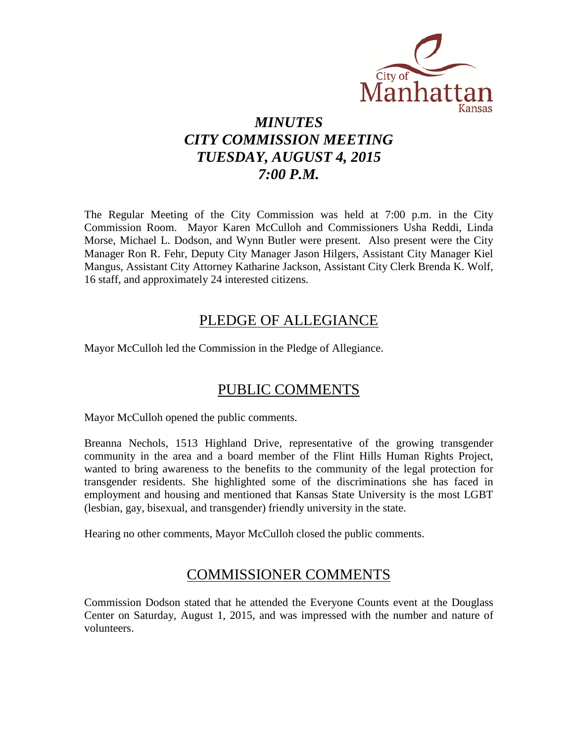

# *MINUTES CITY COMMISSION MEETING TUESDAY, AUGUST 4, 2015 7:00 P.M.*

The Regular Meeting of the City Commission was held at 7:00 p.m. in the City Commission Room. Mayor Karen McCulloh and Commissioners Usha Reddi, Linda Morse, Michael L. Dodson, and Wynn Butler were present. Also present were the City Manager Ron R. Fehr, Deputy City Manager Jason Hilgers, Assistant City Manager Kiel Mangus, Assistant City Attorney Katharine Jackson, Assistant City Clerk Brenda K. Wolf, 16 staff, and approximately 24 interested citizens.

# PLEDGE OF ALLEGIANCE

Mayor McCulloh led the Commission in the Pledge of Allegiance.

# PUBLIC COMMENTS

Mayor McCulloh opened the public comments.

Breanna Nechols, 1513 Highland Drive, representative of the growing transgender community in the area and a board member of the Flint Hills Human Rights Project, wanted to bring awareness to the benefits to the community of the legal protection for transgender residents. She highlighted some of the discriminations she has faced in employment and housing and mentioned that Kansas State University is the most LGBT (lesbian, gay, bisexual, and transgender) friendly university in the state.

Hearing no other comments, Mayor McCulloh closed the public comments.

# COMMISSIONER COMMENTS

Commission Dodson stated that he attended the Everyone Counts event at the Douglass Center on Saturday, August 1, 2015, and was impressed with the number and nature of volunteers.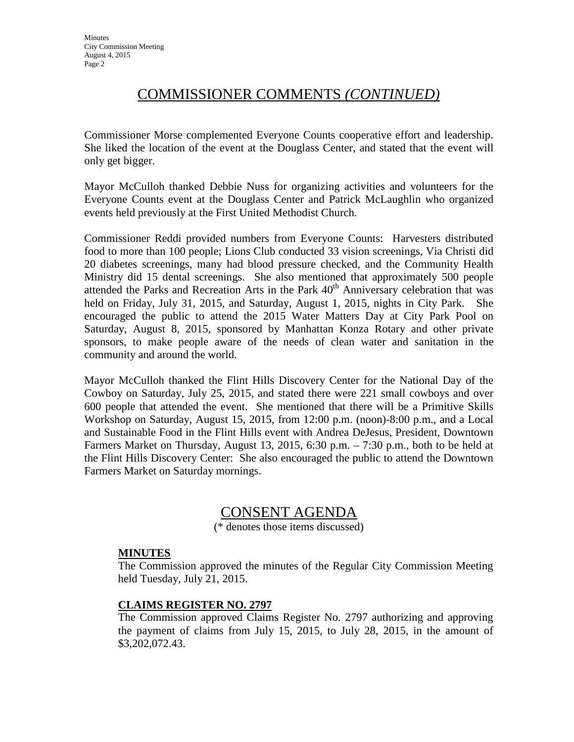# COMMISSIONER COMMENTS *(CONTINUED)*

Commissioner Morse complemented Everyone Counts cooperative effort and leadership. She liked the location of the event at the Douglass Center, and stated that the event will only get bigger.

Mayor McCulloh thanked Debbie Nuss for organizing activities and volunteers for the Everyone Counts event at the Douglass Center and Patrick McLaughlin who organized events held previously at the First United Methodist Church.

Commissioner Reddi provided numbers from Everyone Counts: Harvesters distributed food to more than 100 people; Lions Club conducted 33 vision screenings, Via Christi did 20 diabetes screenings, many had blood pressure checked, and the Community Health Ministry did 15 dental screenings. She also mentioned that approximately 500 people attended the Parks and Recreation Arts in the Park  $40<sup>th</sup>$  Anniversary celebration that was held on Friday, July 31, 2015, and Saturday, August 1, 2015, nights in City Park. She encouraged the public to attend the 2015 Water Matters Day at City Park Pool on Saturday, August 8, 2015, sponsored by Manhattan Konza Rotary and other private sponsors, to make people aware of the needs of clean water and sanitation in the community and around the world.

Mayor McCulloh thanked the Flint Hills Discovery Center for the National Day of the Cowboy on Saturday, July 25, 2015, and stated there were 221 small cowboys and over 600 people that attended the event. She mentioned that there will be a Primitive Skills Workshop on Saturday, August 15, 2015, from 12:00 p.m. (noon)-8:00 p.m., and a Local and Sustainable Food in the Flint Hills event with Andrea DeJesus, President, Downtown Farmers Market on Thursday, August 13, 2015, 6:30 p.m. – 7:30 p.m., both to be held at the Flint Hills Discovery Center: She also encouraged the public to attend the Downtown Farmers Market on Saturday mornings.

# CONSENT AGENDA

(\* denotes those items discussed)

# **MINUTES**

The Commission approved the minutes of the Regular City Commission Meeting held Tuesday, July 21, 2015.

# **CLAIMS REGISTER NO. 2797**

The Commission approved Claims Register No. 2797 authorizing and approving the payment of claims from July 15, 2015, to July 28, 2015, in the amount of \$3,202,072.43.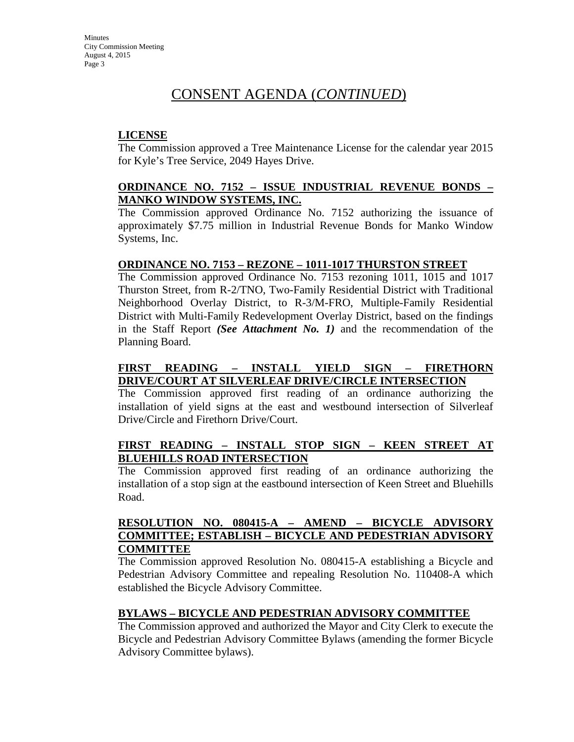### **LICENSE**

The Commission approved a Tree Maintenance License for the calendar year 2015 for Kyle's Tree Service, 2049 Hayes Drive.

### **ORDINANCE NO. 7152 – ISSUE INDUSTRIAL REVENUE BONDS – MANKO WINDOW SYSTEMS, INC.**

The Commission approved Ordinance No. 7152 authorizing the issuance of approximately \$7.75 million in Industrial Revenue Bonds for Manko Window Systems, Inc.

### **ORDINANCE NO. 7153 – REZONE – 1011-1017 THURSTON STREET**

The Commission approved Ordinance No. 7153 rezoning 1011, 1015 and 1017 Thurston Street, from R-2/TNO, Two-Family Residential District with Traditional Neighborhood Overlay District, to R-3/M-FRO, Multiple-Family Residential District with Multi-Family Redevelopment Overlay District, based on the findings in the Staff Report *(See Attachment No. 1)* and the recommendation of the Planning Board.

# **FIRST READING – INSTALL YIELD SIGN – FIRETHORN DRIVE/COURT AT SILVERLEAF DRIVE/CIRCLE INTERSECTION**

The Commission approved first reading of an ordinance authorizing the installation of yield signs at the east and westbound intersection of Silverleaf Drive/Circle and Firethorn Drive/Court.

# **FIRST READING – INSTALL STOP SIGN – KEEN STREET AT BLUEHILLS ROAD INTERSECTION**

The Commission approved first reading of an ordinance authorizing the installation of a stop sign at the eastbound intersection of Keen Street and Bluehills Road.

### **RESOLUTION NO. 080415-A – AMEND – BICYCLE ADVISORY COMMITTEE; ESTABLISH – BICYCLE AND PEDESTRIAN ADVISORY COMMITTEE**

The Commission approved Resolution No. 080415-A establishing a Bicycle and Pedestrian Advisory Committee and repealing Resolution No. 110408-A which established the Bicycle Advisory Committee.

# **BYLAWS – BICYCLE AND PEDESTRIAN ADVISORY COMMITTEE**

The Commission approved and authorized the Mayor and City Clerk to execute the Bicycle and Pedestrian Advisory Committee Bylaws (amending the former Bicycle Advisory Committee bylaws).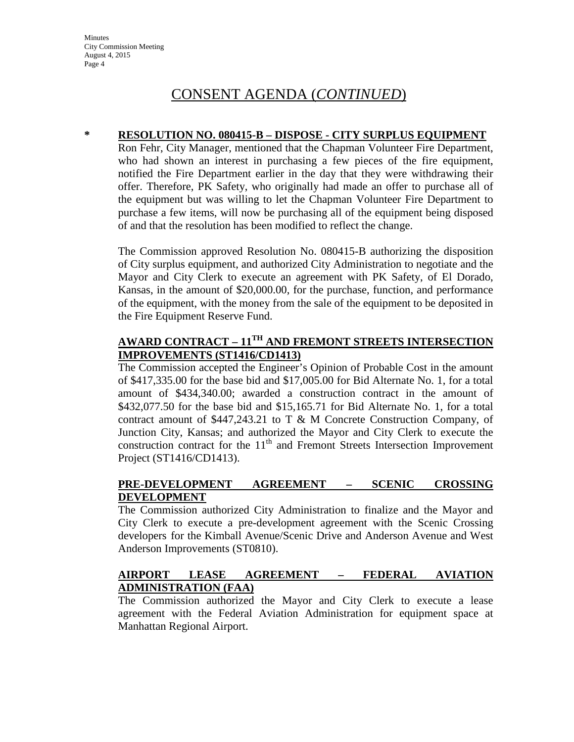#### **\* RESOLUTION NO. 080415-B – DISPOSE - CITY SURPLUS EQUIPMENT**

Ron Fehr, City Manager, mentioned that the Chapman Volunteer Fire Department, who had shown an interest in purchasing a few pieces of the fire equipment, notified the Fire Department earlier in the day that they were withdrawing their offer. Therefore, PK Safety, who originally had made an offer to purchase all of the equipment but was willing to let the Chapman Volunteer Fire Department to purchase a few items, will now be purchasing all of the equipment being disposed of and that the resolution has been modified to reflect the change.

The Commission approved Resolution No. 080415-B authorizing the disposition of City surplus equipment, and authorized City Administration to negotiate and the Mayor and City Clerk to execute an agreement with PK Safety, of El Dorado, Kansas, in the amount of \$20,000.00, for the purchase, function, and performance of the equipment, with the money from the sale of the equipment to be deposited in the Fire Equipment Reserve Fund.

# **AWARD CONTRACT – 11TH AND FREMONT STREETS INTERSECTION IMPROVEMENTS (ST1416/CD1413)**

The Commission accepted the Engineer's Opinion of Probable Cost in the amount of \$417,335.00 for the base bid and \$17,005.00 for Bid Alternate No. 1, for a total amount of \$434,340.00; awarded a construction contract in the amount of \$432,077.50 for the base bid and \$15,165.71 for Bid Alternate No. 1, for a total contract amount of \$447,243.21 to T & M Concrete Construction Company, of Junction City, Kansas; and authorized the Mayor and City Clerk to execute the construction contract for the  $11<sup>th</sup>$  and Fremont Streets Intersection Improvement Project (ST1416/CD1413).

# **PRE-DEVELOPMENT AGREEMENT – SCENIC CROSSING DEVELOPMENT**

The Commission authorized City Administration to finalize and the Mayor and City Clerk to execute a pre-development agreement with the Scenic Crossing developers for the Kimball Avenue/Scenic Drive and Anderson Avenue and West Anderson Improvements (ST0810).

# **AIRPORT LEASE AGREEMENT – FEDERAL AVIATION ADMINISTRATION (FAA)**

The Commission authorized the Mayor and City Clerk to execute a lease agreement with the Federal Aviation Administration for equipment space at Manhattan Regional Airport.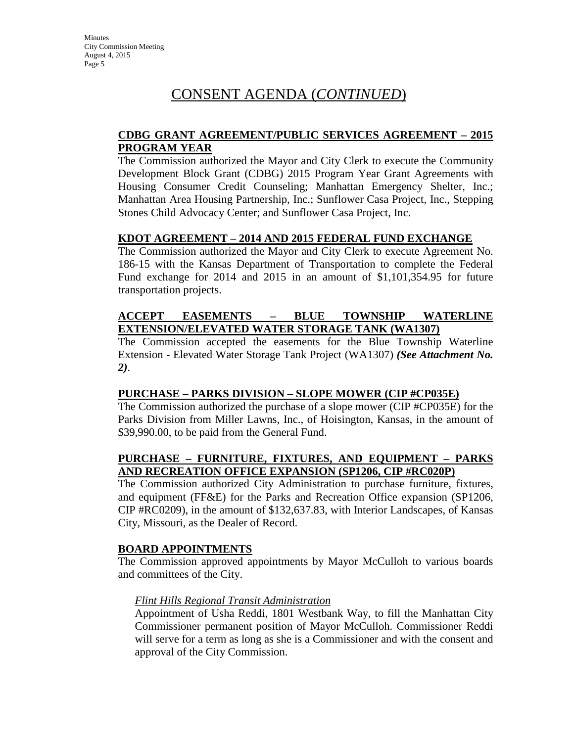### **CDBG GRANT AGREEMENT/PUBLIC SERVICES AGREEMENT – 2015 PROGRAM YEAR**

The Commission authorized the Mayor and City Clerk to execute the Community Development Block Grant (CDBG) 2015 Program Year Grant Agreements with Housing Consumer Credit Counseling; Manhattan Emergency Shelter, Inc.; Manhattan Area Housing Partnership, Inc.; Sunflower Casa Project, Inc., Stepping Stones Child Advocacy Center; and Sunflower Casa Project, Inc.

### **KDOT AGREEMENT – 2014 AND 2015 FEDERAL FUND EXCHANGE**

The Commission authorized the Mayor and City Clerk to execute Agreement No. 186-15 with the Kansas Department of Transportation to complete the Federal Fund exchange for 2014 and 2015 in an amount of \$1,101,354.95 for future transportation projects.

# **ACCEPT EASEMENTS – BLUE TOWNSHIP WATERLINE EXTENSION/ELEVATED WATER STORAGE TANK (WA1307)**

The Commission accepted the easements for the Blue Township Waterline Extension - Elevated Water Storage Tank Project (WA1307) *(See Attachment No. 2)*.

# **PURCHASE – PARKS DIVISION – SLOPE MOWER (CIP #CP035E)**

The Commission authorized the purchase of a slope mower (CIP #CP035E) for the Parks Division from Miller Lawns, Inc., of Hoisington, Kansas, in the amount of \$39,990.00, to be paid from the General Fund.

# **PURCHASE – FURNITURE, FIXTURES, AND EQUIPMENT – PARKS AND RECREATION OFFICE EXPANSION (SP1206, CIP #RC020P)**

The Commission authorized City Administration to purchase furniture, fixtures, and equipment (FF&E) for the Parks and Recreation Office expansion (SP1206, CIP #RC0209), in the amount of \$132,637.83, with Interior Landscapes, of Kansas City, Missouri, as the Dealer of Record.

#### **BOARD APPOINTMENTS**

The Commission approved appointments by Mayor McCulloh to various boards and committees of the City.

#### *Flint Hills Regional Transit Administration*

Appointment of Usha Reddi, 1801 Westbank Way, to fill the Manhattan City Commissioner permanent position of Mayor McCulloh. Commissioner Reddi will serve for a term as long as she is a Commissioner and with the consent and approval of the City Commission.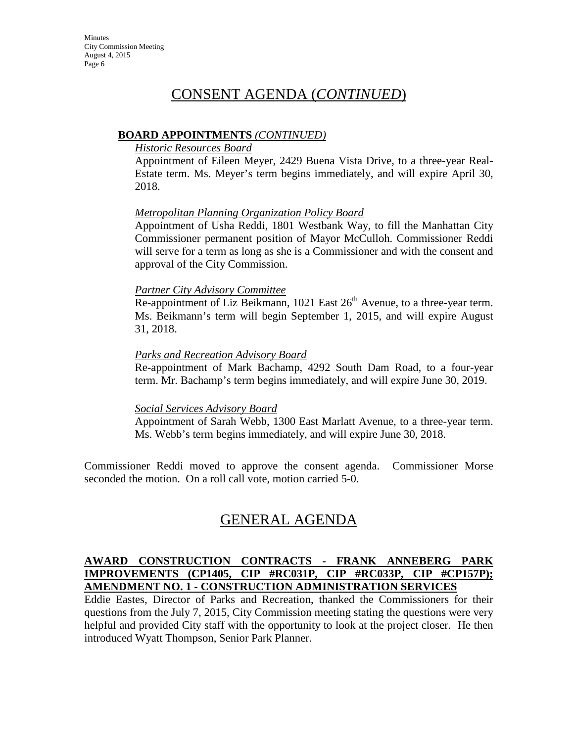### **BOARD APPOINTMENTS** *(CONTINUED)*

#### *Historic Resources Board*

Appointment of Eileen Meyer, 2429 Buena Vista Drive, to a three-year Real-Estate term. Ms. Meyer's term begins immediately, and will expire April 30, 2018.

### *Metropolitan Planning Organization Policy Board*

Appointment of Usha Reddi, 1801 Westbank Way, to fill the Manhattan City Commissioner permanent position of Mayor McCulloh. Commissioner Reddi will serve for a term as long as she is a Commissioner and with the consent and approval of the City Commission.

#### *Partner City Advisory Committee*

Re-appointment of Liz Beikmann, 1021 East  $26<sup>th</sup>$  Avenue, to a three-year term. Ms. Beikmann's term will begin September 1, 2015, and will expire August 31, 2018.

### *Parks and Recreation Advisory Board*

Re-appointment of Mark Bachamp, 4292 South Dam Road, to a four-year term. Mr. Bachamp's term begins immediately, and will expire June 30, 2019.

#### *Social Services Advisory Board*

Appointment of Sarah Webb, 1300 East Marlatt Avenue, to a three-year term. Ms. Webb's term begins immediately, and will expire June 30, 2018.

Commissioner Reddi moved to approve the consent agenda. Commissioner Morse seconded the motion. On a roll call vote, motion carried 5-0.

# GENERAL AGENDA

#### **AWARD CONSTRUCTION CONTRACTS - FRANK ANNEBERG PARK IMPROVEMENTS (CP1405, CIP #RC031P, CIP #RC033P, CIP #CP157P); AMENDMENT NO. 1 - CONSTRUCTION ADMINISTRATION SERVICES**

Eddie Eastes, Director of Parks and Recreation, thanked the Commissioners for their questions from the July 7, 2015, City Commission meeting stating the questions were very helpful and provided City staff with the opportunity to look at the project closer. He then introduced Wyatt Thompson, Senior Park Planner.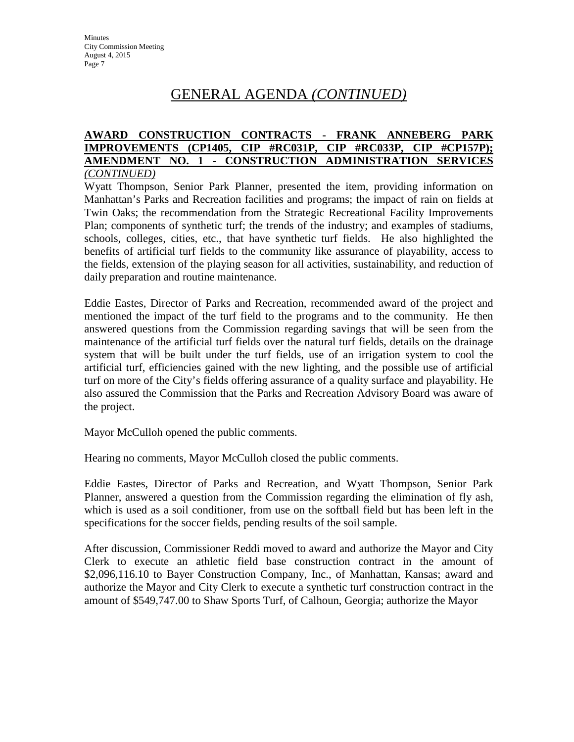#### **AWARD CONSTRUCTION CONTRACTS - FRANK ANNEBERG PARK IMPROVEMENTS (CP1405, CIP #RC031P, CIP #RC033P, CIP #CP157P); AMENDMENT NO. 1 - CONSTRUCTION ADMINISTRATION SERVICES** *(CONTINUED)*

Wyatt Thompson, Senior Park Planner, presented the item, providing information on Manhattan's Parks and Recreation facilities and programs; the impact of rain on fields at Twin Oaks; the recommendation from the Strategic Recreational Facility Improvements Plan; components of synthetic turf; the trends of the industry; and examples of stadiums, schools, colleges, cities, etc., that have synthetic turf fields. He also highlighted the benefits of artificial turf fields to the community like assurance of playability, access to the fields, extension of the playing season for all activities, sustainability, and reduction of daily preparation and routine maintenance.

Eddie Eastes, Director of Parks and Recreation, recommended award of the project and mentioned the impact of the turf field to the programs and to the community. He then answered questions from the Commission regarding savings that will be seen from the maintenance of the artificial turf fields over the natural turf fields, details on the drainage system that will be built under the turf fields, use of an irrigation system to cool the artificial turf, efficiencies gained with the new lighting, and the possible use of artificial turf on more of the City's fields offering assurance of a quality surface and playability. He also assured the Commission that the Parks and Recreation Advisory Board was aware of the project.

Mayor McCulloh opened the public comments.

Hearing no comments, Mayor McCulloh closed the public comments.

Eddie Eastes, Director of Parks and Recreation, and Wyatt Thompson, Senior Park Planner, answered a question from the Commission regarding the elimination of fly ash, which is used as a soil conditioner, from use on the softball field but has been left in the specifications for the soccer fields, pending results of the soil sample.

After discussion, Commissioner Reddi moved to award and authorize the Mayor and City Clerk to execute an athletic field base construction contract in the amount of \$2,096,116.10 to Bayer Construction Company, Inc., of Manhattan, Kansas; award and authorize the Mayor and City Clerk to execute a synthetic turf construction contract in the amount of \$549,747.00 to Shaw Sports Turf, of Calhoun, Georgia; authorize the Mayor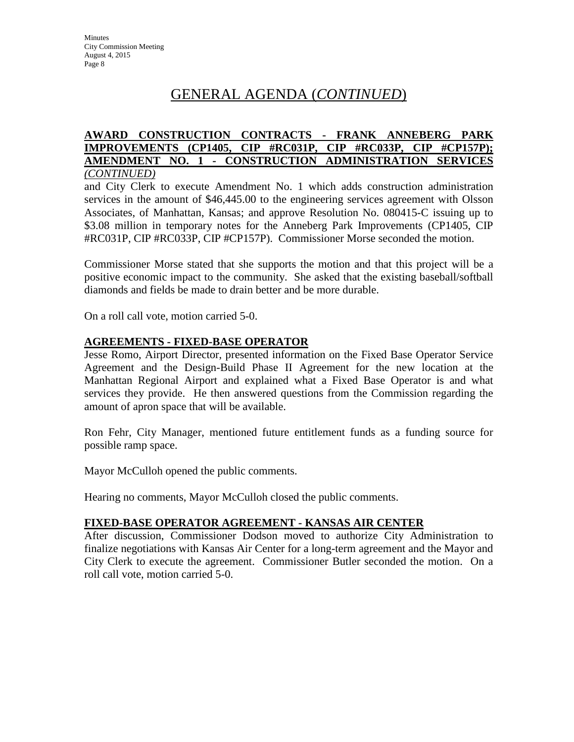#### **AWARD CONSTRUCTION CONTRACTS - FRANK ANNEBERG PARK IMPROVEMENTS (CP1405, CIP #RC031P, CIP #RC033P, CIP #CP157P); AMENDMENT NO. 1 - CONSTRUCTION ADMINISTRATION SERVICES** *(CONTINUED)*

and City Clerk to execute Amendment No. 1 which adds construction administration services in the amount of \$46,445.00 to the engineering services agreement with Olsson Associates, of Manhattan, Kansas; and approve Resolution No. 080415-C issuing up to \$3.08 million in temporary notes for the Anneberg Park Improvements (CP1405, CIP #RC031P, CIP #RC033P, CIP #CP157P). Commissioner Morse seconded the motion.

Commissioner Morse stated that she supports the motion and that this project will be a positive economic impact to the community. She asked that the existing baseball/softball diamonds and fields be made to drain better and be more durable.

On a roll call vote, motion carried 5-0.

# **AGREEMENTS - FIXED-BASE OPERATOR**

Jesse Romo, Airport Director, presented information on the Fixed Base Operator Service Agreement and the Design-Build Phase II Agreement for the new location at the Manhattan Regional Airport and explained what a Fixed Base Operator is and what services they provide. He then answered questions from the Commission regarding the amount of apron space that will be available.

Ron Fehr, City Manager, mentioned future entitlement funds as a funding source for possible ramp space.

Mayor McCulloh opened the public comments.

Hearing no comments, Mayor McCulloh closed the public comments.

#### **FIXED-BASE OPERATOR AGREEMENT - KANSAS AIR CENTER**

After discussion, Commissioner Dodson moved to authorize City Administration to finalize negotiations with Kansas Air Center for a long-term agreement and the Mayor and City Clerk to execute the agreement. Commissioner Butler seconded the motion. On a roll call vote, motion carried 5-0.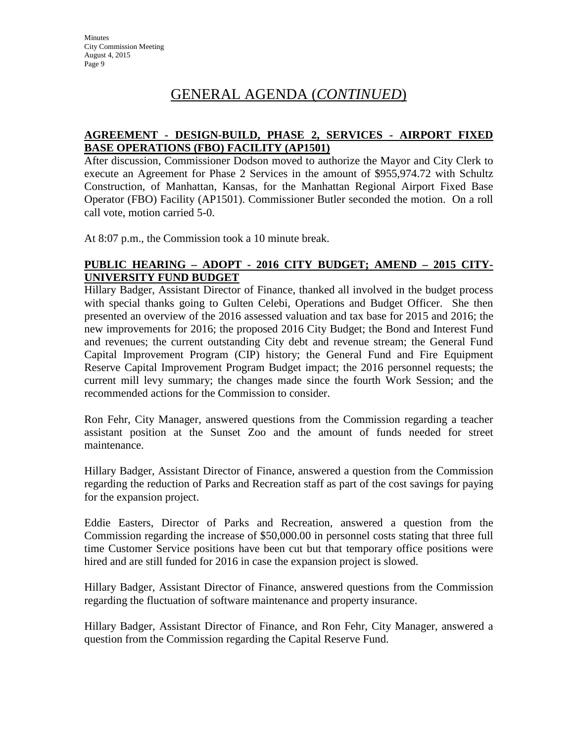# **AGREEMENT - DESIGN-BUILD, PHASE 2, SERVICES - AIRPORT FIXED BASE OPERATIONS (FBO) FACILITY (AP1501)**

After discussion, Commissioner Dodson moved to authorize the Mayor and City Clerk to execute an Agreement for Phase 2 Services in the amount of \$955,974.72 with Schultz Construction, of Manhattan, Kansas, for the Manhattan Regional Airport Fixed Base Operator (FBO) Facility (AP1501). Commissioner Butler seconded the motion. On a roll call vote, motion carried 5-0.

At 8:07 p.m., the Commission took a 10 minute break.

### **PUBLIC HEARING – ADOPT - 2016 CITY BUDGET; AMEND – 2015 CITY-UNIVERSITY FUND BUDGET**

Hillary Badger, Assistant Director of Finance, thanked all involved in the budget process with special thanks going to Gulten Celebi, Operations and Budget Officer. She then presented an overview of the 2016 assessed valuation and tax base for 2015 and 2016; the new improvements for 2016; the proposed 2016 City Budget; the Bond and Interest Fund and revenues; the current outstanding City debt and revenue stream; the General Fund Capital Improvement Program (CIP) history; the General Fund and Fire Equipment Reserve Capital Improvement Program Budget impact; the 2016 personnel requests; the current mill levy summary; the changes made since the fourth Work Session; and the recommended actions for the Commission to consider.

Ron Fehr, City Manager, answered questions from the Commission regarding a teacher assistant position at the Sunset Zoo and the amount of funds needed for street maintenance.

Hillary Badger, Assistant Director of Finance, answered a question from the Commission regarding the reduction of Parks and Recreation staff as part of the cost savings for paying for the expansion project.

Eddie Easters, Director of Parks and Recreation, answered a question from the Commission regarding the increase of \$50,000.00 in personnel costs stating that three full time Customer Service positions have been cut but that temporary office positions were hired and are still funded for 2016 in case the expansion project is slowed.

Hillary Badger, Assistant Director of Finance, answered questions from the Commission regarding the fluctuation of software maintenance and property insurance.

Hillary Badger, Assistant Director of Finance, and Ron Fehr, City Manager, answered a question from the Commission regarding the Capital Reserve Fund.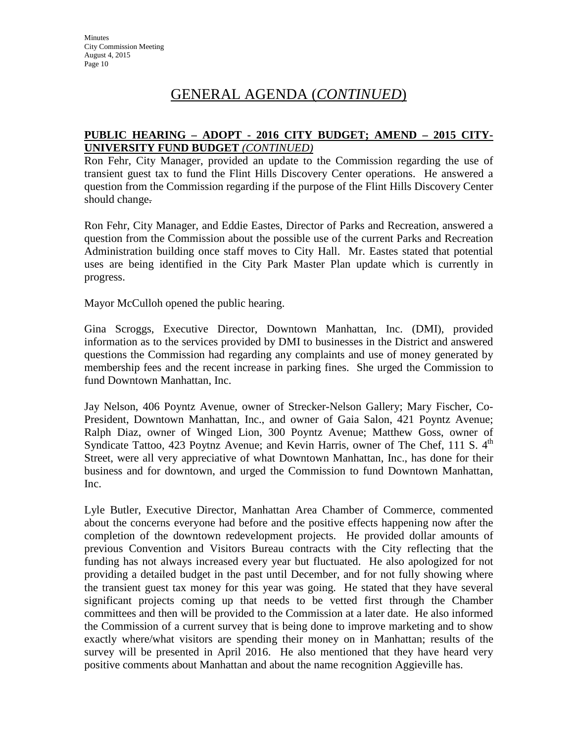### **PUBLIC HEARING – ADOPT - 2016 CITY BUDGET; AMEND – 2015 CITY-UNIVERSITY FUND BUDGET** *(CONTINUED)*

Ron Fehr, City Manager, provided an update to the Commission regarding the use of transient guest tax to fund the Flint Hills Discovery Center operations. He answered a question from the Commission regarding if the purpose of the Flint Hills Discovery Center should change.

Ron Fehr, City Manager, and Eddie Eastes, Director of Parks and Recreation, answered a question from the Commission about the possible use of the current Parks and Recreation Administration building once staff moves to City Hall. Mr. Eastes stated that potential uses are being identified in the City Park Master Plan update which is currently in progress.

Mayor McCulloh opened the public hearing.

Gina Scroggs, Executive Director, Downtown Manhattan, Inc. (DMI), provided information as to the services provided by DMI to businesses in the District and answered questions the Commission had regarding any complaints and use of money generated by membership fees and the recent increase in parking fines. She urged the Commission to fund Downtown Manhattan, Inc.

Jay Nelson, 406 Poyntz Avenue, owner of Strecker-Nelson Gallery; Mary Fischer, Co-President, Downtown Manhattan, Inc., and owner of Gaia Salon, 421 Poyntz Avenue; Ralph Diaz, owner of Winged Lion, 300 Poyntz Avenue; Matthew Goss, owner of Syndicate Tattoo, 423 Poytnz Avenue; and Kevin Harris, owner of The Chef, 111 S.  $4<sup>th</sup>$ Street, were all very appreciative of what Downtown Manhattan, Inc., has done for their business and for downtown, and urged the Commission to fund Downtown Manhattan, Inc.

Lyle Butler, Executive Director, Manhattan Area Chamber of Commerce, commented about the concerns everyone had before and the positive effects happening now after the completion of the downtown redevelopment projects. He provided dollar amounts of previous Convention and Visitors Bureau contracts with the City reflecting that the funding has not always increased every year but fluctuated. He also apologized for not providing a detailed budget in the past until December, and for not fully showing where the transient guest tax money for this year was going. He stated that they have several significant projects coming up that needs to be vetted first through the Chamber committees and then will be provided to the Commission at a later date. He also informed the Commission of a current survey that is being done to improve marketing and to show exactly where/what visitors are spending their money on in Manhattan; results of the survey will be presented in April 2016. He also mentioned that they have heard very positive comments about Manhattan and about the name recognition Aggieville has.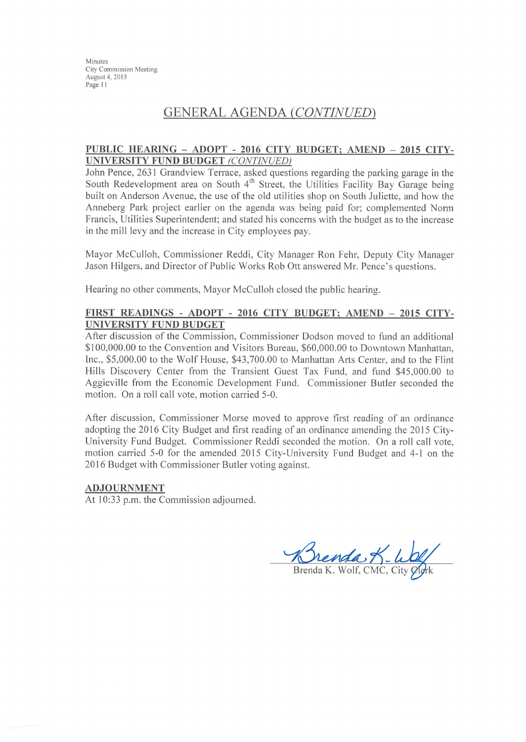Minutes City Commission Meeting August 4, 2015 Page 11

# **GENERAL AGENDA (CONTINUED)**

#### PUBLIC HEARING - ADOPT - 2016 CITY BUDGET; AMEND - 2015 CITY-UNIVERSITY FUND BUDGET (CONTINUED)

John Pence, 2631 Grandview Terrace, asked questions regarding the parking garage in the South Redevelopment area on South 4<sup>th</sup> Street, the Utilities Facility Bay Garage being built on Anderson Avenue, the use of the old utilities shop on South Juliette, and how the Anneberg Park project earlier on the agenda was being paid for; complemented Norm Francis, Utilities Superintendent; and stated his concerns with the budget as to the increase in the mill levy and the increase in City employees pay.

Mayor McCulloh, Commissioner Reddi, City Manager Ron Fehr, Deputy City Manager Jason Hilgers, and Director of Public Works Rob Ott answered Mr. Pence's questions.

Hearing no other comments, Mayor McCulloh closed the public hearing.

#### FIRST READINGS - ADOPT - 2016 CITY BUDGET; AMEND - 2015 CITY-**UNIVERSITY FUND BUDGET**

After discussion of the Commission, Commissioner Dodson moved to fund an additional \$100,000.00 to the Convention and Visitors Bureau, \$60,000.00 to Downtown Manhattan, Inc., \$5,000.00 to the Wolf House, \$43,700.00 to Manhattan Arts Center, and to the Flint Hills Discovery Center from the Transient Guest Tax Fund, and fund \$45,000.00 to Aggieville from the Economic Development Fund. Commissioner Butler seconded the motion. On a roll call vote, motion carried 5-0.

After discussion, Commissioner Morse moved to approve first reading of an ordinance adopting the 2016 City Budget and first reading of an ordinance amending the 2015 City-University Fund Budget. Commissioner Reddi seconded the motion. On a roll call vote, motion carried 5-0 for the amended 2015 City-University Fund Budget and 4-1 on the 2016 Budget with Commissioner Butler voting against.

#### **ADJOURNMENT**

At 10:33 p.m. the Commission adjourned.

Brenda K. Wolf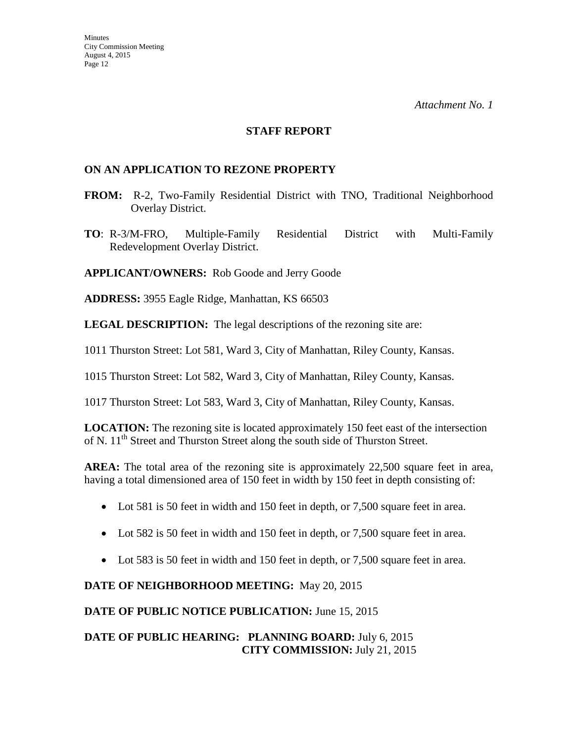#### **STAFF REPORT**

### **ON AN APPLICATION TO REZONE PROPERTY**

- **FROM:** R-2, Two-Family Residential District with TNO, Traditional Neighborhood Overlay District.
- **TO**: R-3/M-FRO, Multiple-Family Residential District with Multi-Family Redevelopment Overlay District.

**APPLICANT/OWNERS:** Rob Goode and Jerry Goode

**ADDRESS:** 3955 Eagle Ridge, Manhattan, KS 66503

**LEGAL DESCRIPTION:** The legal descriptions of the rezoning site are:

1011 Thurston Street: Lot 581, Ward 3, City of Manhattan, Riley County, Kansas.

1015 Thurston Street: Lot 582, Ward 3, City of Manhattan, Riley County, Kansas.

1017 Thurston Street: Lot 583, Ward 3, City of Manhattan, Riley County, Kansas.

**LOCATION:** The rezoning site is located approximately 150 feet east of the intersection of N. 11<sup>th</sup> Street and Thurston Street along the south side of Thurston Street.

**AREA:** The total area of the rezoning site is approximately 22,500 square feet in area, having a total dimensioned area of 150 feet in width by 150 feet in depth consisting of:

- Lot 581 is 50 feet in width and 150 feet in depth, or 7,500 square feet in area.
- Lot 582 is 50 feet in width and 150 feet in depth, or 7,500 square feet in area.
- Lot 583 is 50 feet in width and 150 feet in depth, or 7,500 square feet in area.

# **DATE OF NEIGHBORHOOD MEETING:** May 20, 2015

**DATE OF PUBLIC NOTICE PUBLICATION:** June 15, 2015

# **DATE OF PUBLIC HEARING: PLANNING BOARD:** July 6, 2015 **CITY COMMISSION:** July 21, 2015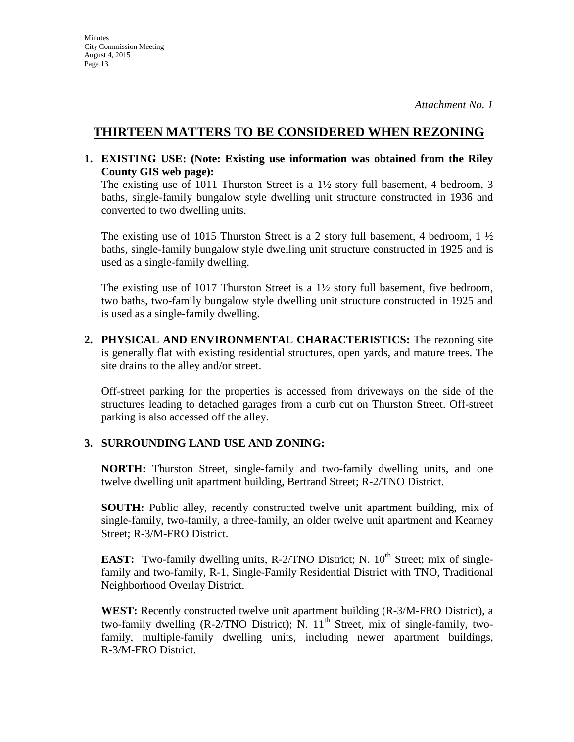# **THIRTEEN MATTERS TO BE CONSIDERED WHEN REZONING**

**1. EXISTING USE: (Note: Existing use information was obtained from the Riley County GIS web page):** 

The existing use of 1011 Thurston Street is a  $1\frac{1}{2}$  story full basement, 4 bedroom, 3 baths, single-family bungalow style dwelling unit structure constructed in 1936 and converted to two dwelling units.

The existing use of 1015 Thurston Street is a 2 story full basement, 4 bedroom, 1  $\frac{1}{2}$ baths, single-family bungalow style dwelling unit structure constructed in 1925 and is used as a single-family dwelling.

The existing use of 1017 Thurston Street is a 1½ story full basement, five bedroom, two baths, two-family bungalow style dwelling unit structure constructed in 1925 and is used as a single-family dwelling.

**2. PHYSICAL AND ENVIRONMENTAL CHARACTERISTICS:** The rezoning site is generally flat with existing residential structures, open yards, and mature trees. The site drains to the alley and/or street.

Off-street parking for the properties is accessed from driveways on the side of the structures leading to detached garages from a curb cut on Thurston Street. Off-street parking is also accessed off the alley.

# **3. SURROUNDING LAND USE AND ZONING:**

**NORTH:** Thurston Street, single-family and two-family dwelling units, and one twelve dwelling unit apartment building, Bertrand Street; R-2/TNO District.

**SOUTH:** Public alley, recently constructed twelve unit apartment building, mix of single-family, two-family, a three-family, an older twelve unit apartment and Kearney Street; R-3/M-FRO District.

**EAST:** Two-family dwelling units, R-2/TNO District; N.  $10^{th}$  Street; mix of singlefamily and two-family, R-1, Single-Family Residential District with TNO, Traditional Neighborhood Overlay District.

**WEST:** Recently constructed twelve unit apartment building (R-3/M-FRO District), a two-family dwelling  $(R-2/TNO\text{ District})$ ; N.  $11^{\text{th}}$  Street, mix of single-family, twofamily, multiple-family dwelling units, including newer apartment buildings, R-3/M-FRO District.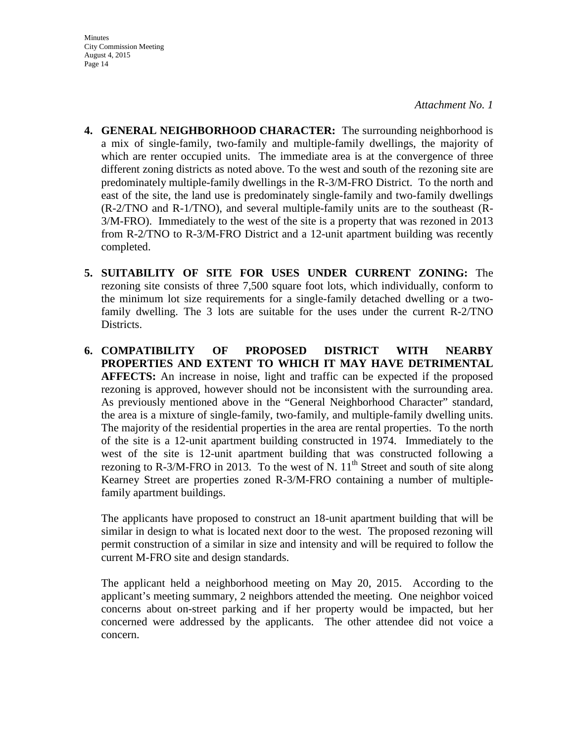- **Minutes** City Commission Meeting August 4, 2015 Page 14
- **4. GENERAL NEIGHBORHOOD CHARACTER:** The surrounding neighborhood is a mix of single-family, two-family and multiple-family dwellings, the majority of which are renter occupied units. The immediate area is at the convergence of three different zoning districts as noted above. To the west and south of the rezoning site are predominately multiple-family dwellings in the R-3/M-FRO District. To the north and east of the site, the land use is predominately single-family and two-family dwellings (R-2/TNO and R-1/TNO), and several multiple-family units are to the southeast (R-3/M-FRO). Immediately to the west of the site is a property that was rezoned in 2013 from R-2/TNO to R-3/M-FRO District and a 12-unit apartment building was recently completed.
- **5. SUITABILITY OF SITE FOR USES UNDER CURRENT ZONING:** The rezoning site consists of three 7,500 square foot lots, which individually, conform to the minimum lot size requirements for a single-family detached dwelling or a twofamily dwelling. The 3 lots are suitable for the uses under the current R-2/TNO Districts.
- **6. COMPATIBILITY OF PROPOSED DISTRICT WITH NEARBY PROPERTIES AND EXTENT TO WHICH IT MAY HAVE DETRIMENTAL AFFECTS:** An increase in noise, light and traffic can be expected if the proposed rezoning is approved, however should not be inconsistent with the surrounding area. As previously mentioned above in the "General Neighborhood Character" standard, the area is a mixture of single-family, two-family, and multiple-family dwelling units. The majority of the residential properties in the area are rental properties. To the north of the site is a 12-unit apartment building constructed in 1974. Immediately to the west of the site is 12-unit apartment building that was constructed following a rezoning to R-3/M-FRO in 2013. To the west of N.  $11<sup>th</sup>$  Street and south of site along Kearney Street are properties zoned R-3/M-FRO containing a number of multiplefamily apartment buildings.

The applicants have proposed to construct an 18-unit apartment building that will be similar in design to what is located next door to the west. The proposed rezoning will permit construction of a similar in size and intensity and will be required to follow the current M-FRO site and design standards.

The applicant held a neighborhood meeting on May 20, 2015. According to the applicant's meeting summary, 2 neighbors attended the meeting. One neighbor voiced concerns about on-street parking and if her property would be impacted, but her concerned were addressed by the applicants. The other attendee did not voice a concern.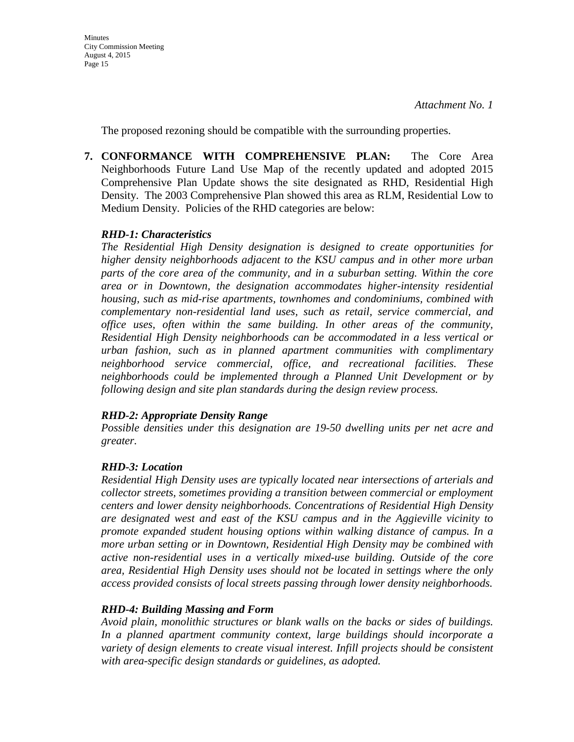The proposed rezoning should be compatible with the surrounding properties.

**7. CONFORMANCE WITH COMPREHENSIVE PLAN:** The Core Area Neighborhoods Future Land Use Map of the recently updated and adopted 2015 Comprehensive Plan Update shows the site designated as RHD, Residential High Density. The 2003 Comprehensive Plan showed this area as RLM, Residential Low to Medium Density. Policies of the RHD categories are below:

# *RHD-1: Characteristics*

*The Residential High Density designation is designed to create opportunities for higher density neighborhoods adjacent to the KSU campus and in other more urban parts of the core area of the community, and in a suburban setting. Within the core area or in Downtown, the designation accommodates higher-intensity residential housing, such as mid-rise apartments, townhomes and condominiums, combined with complementary non-residential land uses, such as retail, service commercial, and office uses, often within the same building. In other areas of the community, Residential High Density neighborhoods can be accommodated in a less vertical or urban fashion, such as in planned apartment communities with complimentary neighborhood service commercial, office, and recreational facilities. These neighborhoods could be implemented through a Planned Unit Development or by following design and site plan standards during the design review process.*

# *RHD-2: Appropriate Density Range*

*Possible densities under this designation are 19-50 dwelling units per net acre and greater.*

# *RHD-3: Location*

*Residential High Density uses are typically located near intersections of arterials and collector streets, sometimes providing a transition between commercial or employment centers and lower density neighborhoods. Concentrations of Residential High Density are designated west and east of the KSU campus and in the Aggieville vicinity to promote expanded student housing options within walking distance of campus. In a more urban setting or in Downtown, Residential High Density may be combined with active non-residential uses in a vertically mixed-use building. Outside of the core area, Residential High Density uses should not be located in settings where the only access provided consists of local streets passing through lower density neighborhoods.*

# *RHD-4: Building Massing and Form*

*Avoid plain, monolithic structures or blank walls on the backs or sides of buildings. In a planned apartment community context, large buildings should incorporate a variety of design elements to create visual interest. Infill projects should be consistent with area-specific design standards or guidelines, as adopted.*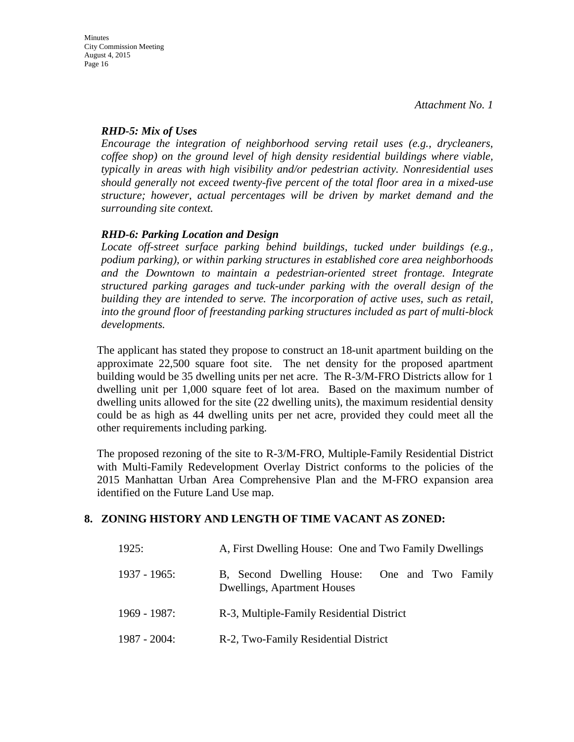# *RHD-5: Mix of Uses*

*Encourage the integration of neighborhood serving retail uses (e.g., drycleaners, coffee shop) on the ground level of high density residential buildings where viable, typically in areas with high visibility and/or pedestrian activity. Nonresidential uses should generally not exceed twenty-five percent of the total floor area in a mixed-use structure; however, actual percentages will be driven by market demand and the surrounding site context.*

# *RHD-6: Parking Location and Design*

*Locate off-street surface parking behind buildings, tucked under buildings (e.g., podium parking), or within parking structures in established core area neighborhoods*  and the Downtown to maintain a pedestrian-oriented street frontage. Integrate *structured parking garages and tuck-under parking with the overall design of the building they are intended to serve. The incorporation of active uses, such as retail, into the ground floor of freestanding parking structures included as part of multi-block developments.*

The applicant has stated they propose to construct an 18-unit apartment building on the approximate 22,500 square foot site. The net density for the proposed apartment building would be 35 dwelling units per net acre. The R-3/M-FRO Districts allow for 1 dwelling unit per 1,000 square feet of lot area. Based on the maximum number of dwelling units allowed for the site (22 dwelling units), the maximum residential density could be as high as 44 dwelling units per net acre, provided they could meet all the other requirements including parking.

The proposed rezoning of the site to R-3/M-FRO, Multiple-Family Residential District with Multi-Family Redevelopment Overlay District conforms to the policies of the 2015 Manhattan Urban Area Comprehensive Plan and the M-FRO expansion area identified on the Future Land Use map.

# **8. ZONING HISTORY AND LENGTH OF TIME VACANT AS ZONED:**

| 1925:           | A, First Dwelling House: One and Two Family Dwellings                       |
|-----------------|-----------------------------------------------------------------------------|
| $1937 - 1965$ : | B, Second Dwelling House: One and Two Family<br>Dwellings, Apartment Houses |
| $1969 - 1987$ : | R-3, Multiple-Family Residential District                                   |
| $1987 - 2004$ : | R-2, Two-Family Residential District                                        |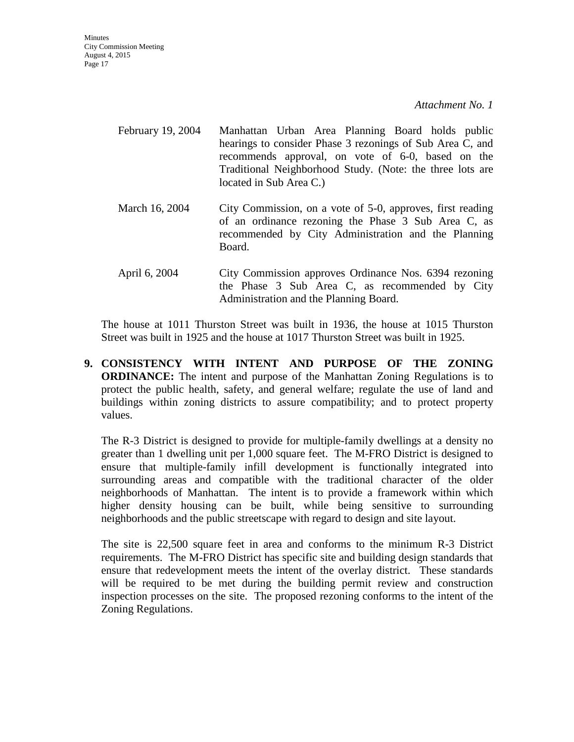- February 19, 2004 Manhattan Urban Area Planning Board holds public hearings to consider Phase 3 rezonings of Sub Area C, and recommends approval, on vote of 6-0, based on the Traditional Neighborhood Study. (Note: the three lots are located in Sub Area C.) March 16, 2004 City Commission, on a vote of 5-0, approves, first reading of an ordinance rezoning the Phase 3 Sub Area C, as recommended by City Administration and the Planning Board. April 6, 2004 City Commission approves Ordinance Nos. 6394 rezoning
- the Phase 3 Sub Area C, as recommended by City Administration and the Planning Board.

The house at 1011 Thurston Street was built in 1936, the house at 1015 Thurston Street was built in 1925 and the house at 1017 Thurston Street was built in 1925.

**9. CONSISTENCY WITH INTENT AND PURPOSE OF THE ZONING ORDINANCE:** The intent and purpose of the Manhattan Zoning Regulations is to protect the public health, safety, and general welfare; regulate the use of land and buildings within zoning districts to assure compatibility; and to protect property values.

The R-3 District is designed to provide for multiple-family dwellings at a density no greater than 1 dwelling unit per 1,000 square feet. The M-FRO District is designed to ensure that multiple-family infill development is functionally integrated into surrounding areas and compatible with the traditional character of the older neighborhoods of Manhattan. The intent is to provide a framework within which higher density housing can be built, while being sensitive to surrounding neighborhoods and the public streetscape with regard to design and site layout.

The site is 22,500 square feet in area and conforms to the minimum R-3 District requirements. The M-FRO District has specific site and building design standards that ensure that redevelopment meets the intent of the overlay district. These standards will be required to be met during the building permit review and construction inspection processes on the site. The proposed rezoning conforms to the intent of the Zoning Regulations.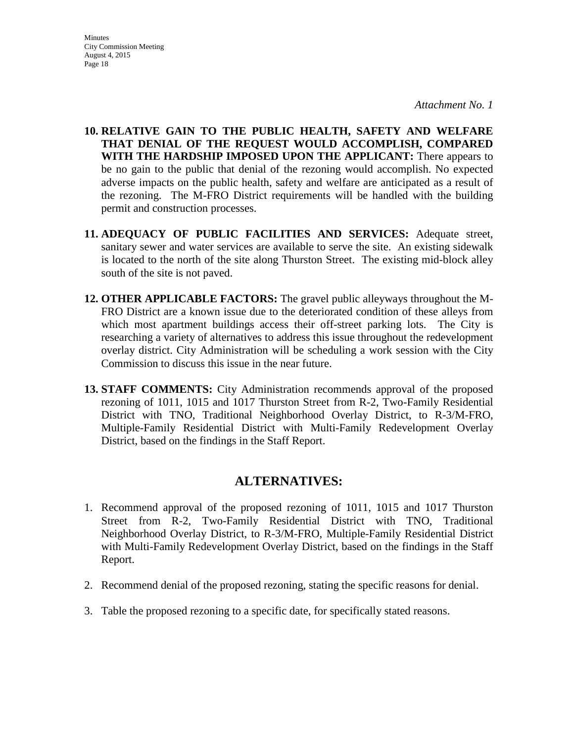**10. RELATIVE GAIN TO THE PUBLIC HEALTH, SAFETY AND WELFARE THAT DENIAL OF THE REQUEST WOULD ACCOMPLISH, COMPARED WITH THE HARDSHIP IMPOSED UPON THE APPLICANT:** There appears to be no gain to the public that denial of the rezoning would accomplish. No expected adverse impacts on the public health, safety and welfare are anticipated as a result of the rezoning. The M-FRO District requirements will be handled with the building permit and construction processes.

- **11. ADEQUACY OF PUBLIC FACILITIES AND SERVICES:** Adequate street, sanitary sewer and water services are available to serve the site. An existing sidewalk is located to the north of the site along Thurston Street. The existing mid-block alley south of the site is not paved.
- **12. OTHER APPLICABLE FACTORS:** The gravel public alleyways throughout the M-FRO District are a known issue due to the deteriorated condition of these alleys from which most apartment buildings access their off-street parking lots. The City is researching a variety of alternatives to address this issue throughout the redevelopment overlay district. City Administration will be scheduling a work session with the City Commission to discuss this issue in the near future.
- **13. STAFF COMMENTS:** City Administration recommends approval of the proposed rezoning of 1011, 1015 and 1017 Thurston Street from R-2, Two-Family Residential District with TNO, Traditional Neighborhood Overlay District, to R-3/M-FRO, Multiple-Family Residential District with Multi-Family Redevelopment Overlay District, based on the findings in the Staff Report.

# **ALTERNATIVES:**

- 1. Recommend approval of the proposed rezoning of 1011, 1015 and 1017 Thurston Street from R-2, Two-Family Residential District with TNO, Traditional Neighborhood Overlay District, to R-3/M-FRO, Multiple-Family Residential District with Multi-Family Redevelopment Overlay District, based on the findings in the Staff Report.
- 2. Recommend denial of the proposed rezoning, stating the specific reasons for denial.
- 3. Table the proposed rezoning to a specific date, for specifically stated reasons.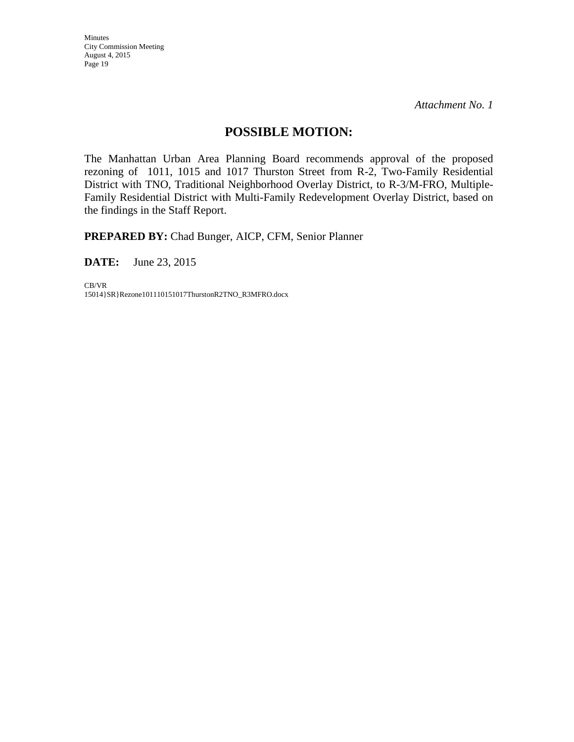Minutes City Commission Meeting August 4, 2015 Page 19

*Attachment No. 1*

# **POSSIBLE MOTION:**

The Manhattan Urban Area Planning Board recommends approval of the proposed rezoning of 1011, 1015 and 1017 Thurston Street from R-2, Two-Family Residential District with TNO, Traditional Neighborhood Overlay District, to R-3/M-FRO, Multiple-Family Residential District with Multi-Family Redevelopment Overlay District, based on the findings in the Staff Report.

**PREPARED BY:** Chad Bunger, AICP, CFM, Senior Planner

**DATE:** June 23, 2015

CB/VR 15014}SR}Rezone101110151017ThurstonR2TNO\_R3MFRO.docx